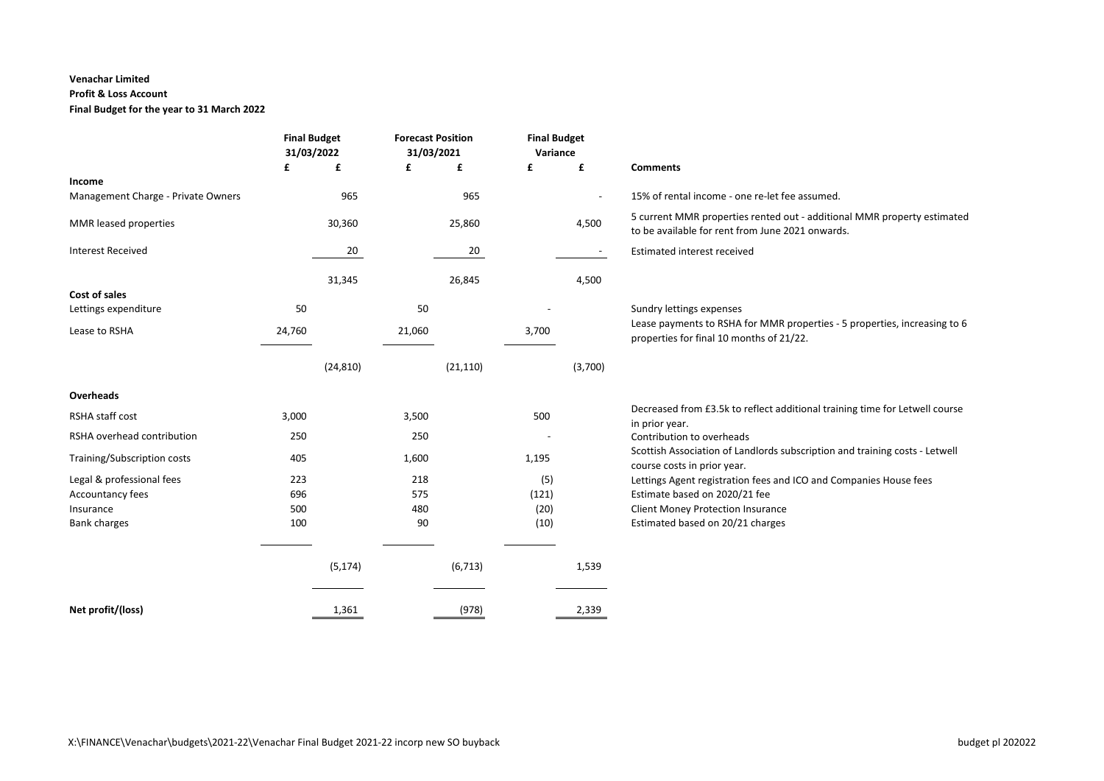### **Venachar Limited**

### **Profit & Loss Account**

**Final Budget for the year to 31 March 2022**

|                                    | <b>Final Budget</b><br>31/03/2022 |           | <b>Forecast Position</b><br>31/03/2021 |           | <b>Final Budget</b><br>Variance |         |                                                                                                                             |
|------------------------------------|-----------------------------------|-----------|----------------------------------------|-----------|---------------------------------|---------|-----------------------------------------------------------------------------------------------------------------------------|
|                                    | £                                 | £         | £                                      | £         | £                               | £       | <b>Comments</b>                                                                                                             |
| Income                             |                                   |           |                                        |           |                                 |         |                                                                                                                             |
| Management Charge - Private Owners |                                   | 965       |                                        | 965       |                                 |         | 15% of rental income - one re-let fee assumed.                                                                              |
| MMR leased properties              |                                   | 30,360    |                                        | 25,860    |                                 | 4,500   | 5 current MMR properties rented out - additional MMR property estimated<br>to be available for rent from June 2021 onwards. |
| <b>Interest Received</b>           |                                   | 20        |                                        | 20        |                                 |         | <b>Estimated interest received</b>                                                                                          |
|                                    |                                   |           |                                        |           |                                 |         |                                                                                                                             |
|                                    |                                   | 31,345    |                                        | 26,845    |                                 | 4,500   |                                                                                                                             |
| Cost of sales                      |                                   |           |                                        |           |                                 |         |                                                                                                                             |
| Lettings expenditure               | 50                                |           | 50                                     |           |                                 |         | Sundry lettings expenses                                                                                                    |
| Lease to RSHA                      | 24,760                            |           | 21,060                                 |           | 3,700                           |         | Lease payments to RSHA for MMR properties - 5 properties, increasing to 6                                                   |
|                                    |                                   |           |                                        |           |                                 |         | properties for final 10 months of 21/22.                                                                                    |
|                                    |                                   |           |                                        |           |                                 |         |                                                                                                                             |
|                                    |                                   | (24, 810) |                                        | (21, 110) |                                 | (3,700) |                                                                                                                             |
| Overheads                          |                                   |           |                                        |           |                                 |         |                                                                                                                             |
| RSHA staff cost                    | 3,000                             |           | 3,500                                  |           | 500                             |         | Decreased from £3.5k to reflect additional training time for Letwell course                                                 |
|                                    |                                   |           |                                        |           |                                 |         | in prior year.<br>Contribution to overheads                                                                                 |
| RSHA overhead contribution         | 250                               |           | 250                                    |           |                                 |         |                                                                                                                             |
| Training/Subscription costs        | 405                               |           | 1,600                                  |           | 1,195                           |         | Scottish Association of Landlords subscription and training costs - Letwell<br>course costs in prior year.                  |
| Legal & professional fees          | 223                               |           | 218                                    |           | (5)                             |         | Lettings Agent registration fees and ICO and Companies House fees                                                           |
| Accountancy fees                   | 696                               |           | 575                                    |           | (121)                           |         | Estimate based on 2020/21 fee                                                                                               |
| Insurance                          | 500                               |           | 480                                    |           | (20)                            |         | <b>Client Money Protection Insurance</b>                                                                                    |
| <b>Bank charges</b>                | 100                               |           | 90                                     |           | (10)                            |         | Estimated based on 20/21 charges                                                                                            |
|                                    |                                   |           |                                        |           |                                 |         |                                                                                                                             |
|                                    |                                   |           |                                        |           |                                 |         |                                                                                                                             |
|                                    |                                   | (5, 174)  |                                        | (6, 713)  |                                 | 1,539   |                                                                                                                             |
|                                    |                                   |           |                                        |           |                                 |         |                                                                                                                             |
| Net profit/(loss)                  |                                   | 1,361     |                                        | (978)     |                                 | 2,339   |                                                                                                                             |